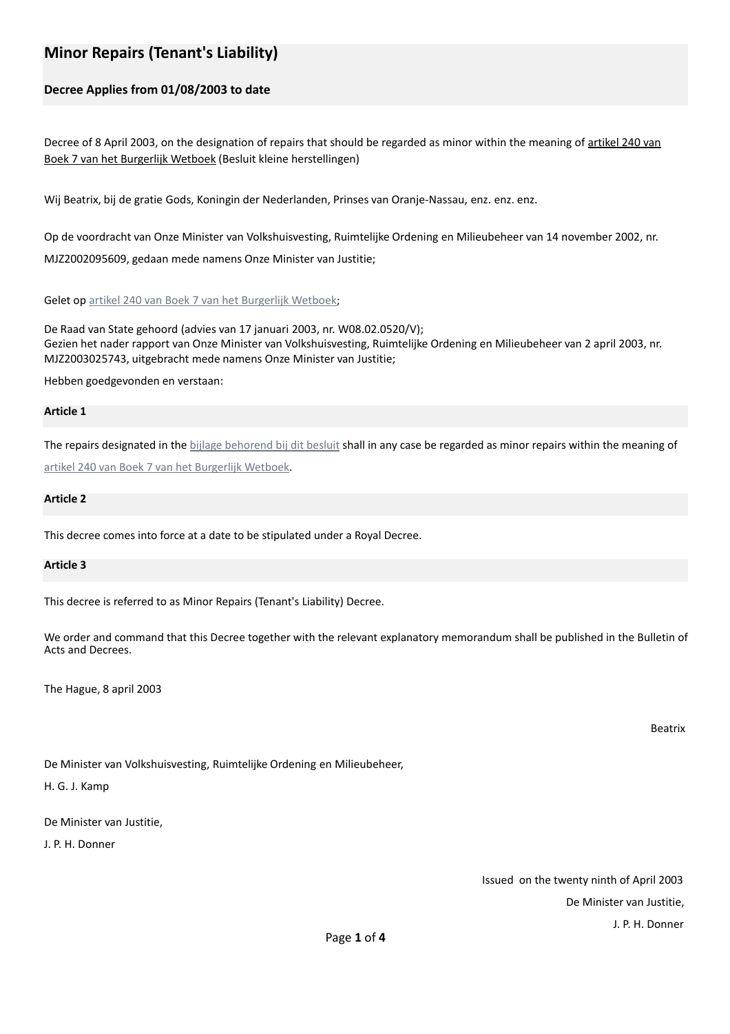# **Minor Repairs (Tenant's Liability)**

# **Decree Applies from 01/08/2003 to date**

Decree of 8 April 2003, on the designation of repairs that should be regarded as minor within the meaning of artikel 240 van Boek 7 van het Burgerlijk Wetboek (Besluit kleine herstellingen)

Wij Beatrix, bij de gratie Gods, Koningin der Nederlanden, Prinses van Oranje-Nassau, enz. enz. enz.

Op de voordracht van Onze Minister van Volkshuisvesting, Ruimtelijke Ordening en Milieubeheer van 14 november 2002, nr. MJZ2002095609, gedaan mede namens Onze Minister van Justitie;

Gelet op artikel 240 van Boek 7 van het Burgerlijk Wetboek;

De Raad van State gehoord (advies van 17 januari 2003, nr. W08.02.0520/V); Gezien het nader rapport van Onze Minister van Volkshuisvesting, Ruimtelijke Ordening en Milieubeheer van 2 april 2003, nr. MJZ2003025743, uitgebracht mede namens Onze Minister van Justitie;

Hebben goedgevonden en verstaan:

#### **Article 1**

The repairs designated in the bijlage behorend bij dit besluit shall in any case be regarded as minor repairs within the meaning of artikel 240 van Boek 7 van het Burgerlijk Wetboek.

#### **Article 2**

This decree comes into force at a date to be stipulated under a Royal Decree.

### **Article 3**

This decree is referred to as Minor Repairs (Tenant's Liability) Decree.

We order and command that this Decree together with the relevant explanatory memorandum shall be published in the Bulletin of Acts and Decrees.

The Hague, 8 april 2003

Beatrix

De Minister van Volkshuisvesting, Ruimtelijke Ordening en Milieubeheer,

H. G. J. Kamp

De Minister van Justitie,

J. P. H. Donner

Issued on the twenty ninth of April 2003 De Minister van Justitie. J. P. H. Donner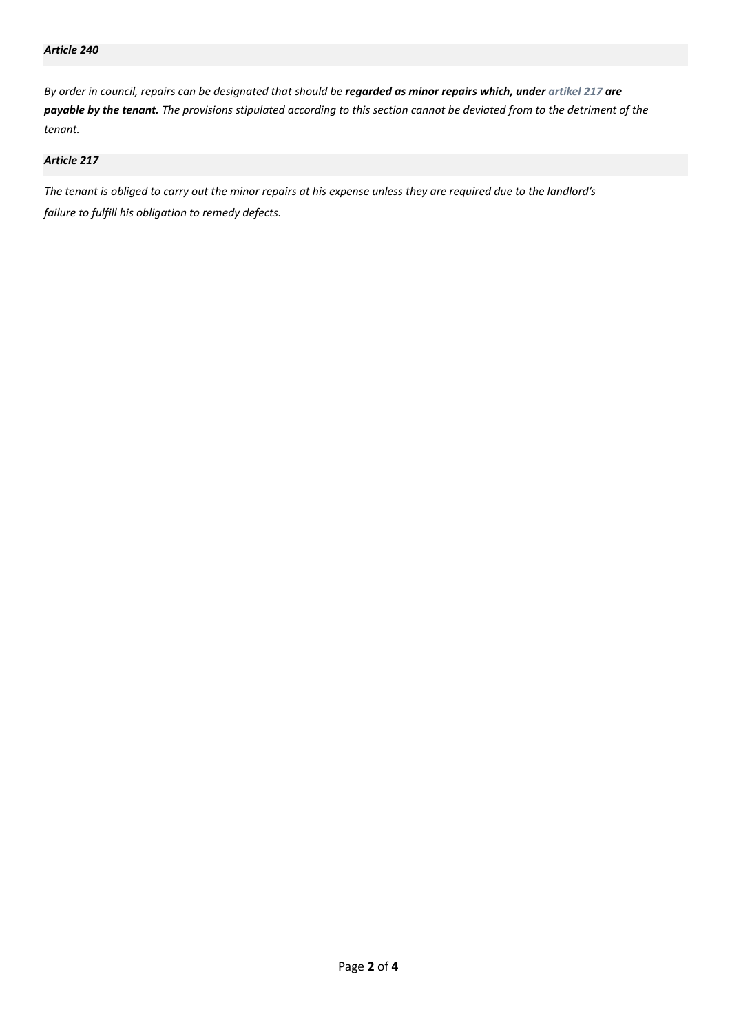*By* order in council, repairs can be designated that should be **regarded as minor repairs which, under** artikel 217 are payable by the tenant. The provisions stipulated according to this section cannot be deviated from to the detriment of the *tenant.* 

## *Article 217*

The tenant is obliged to carry out the minor repairs at his expense unless they are required due to the landlord's *failure to fulfill his obligation to remedy defects.*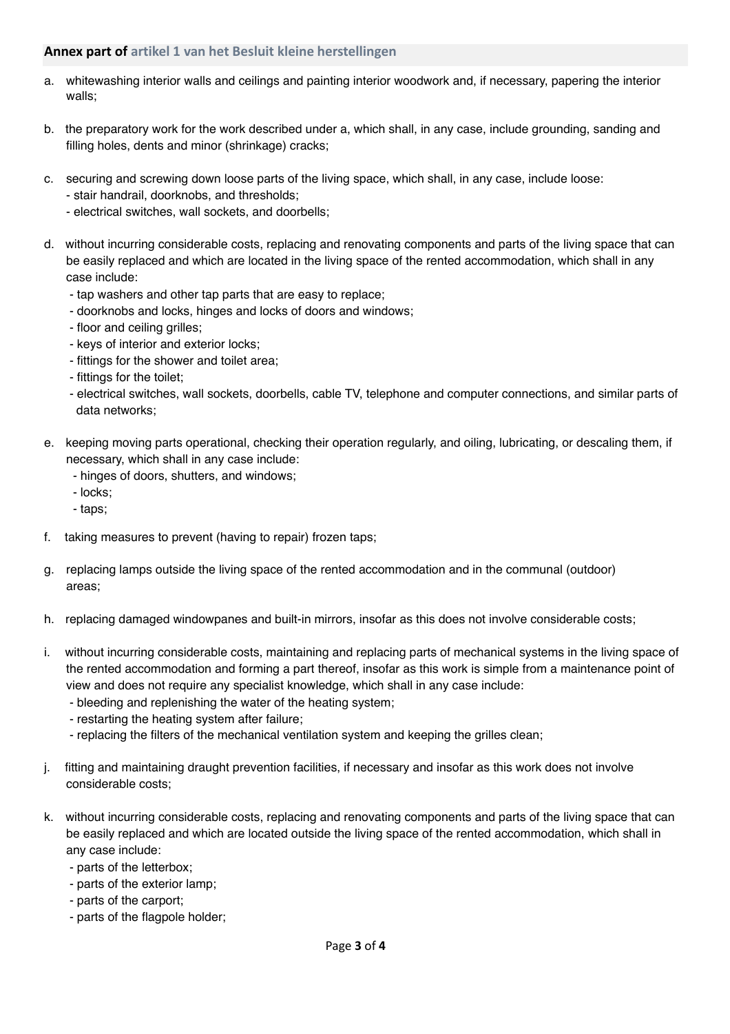# **Annex part of artikel 1 van het Besluit kleine herstellingen**

- a. whitewashing interior walls and ceilings and painting interior woodwork and, if necessary, papering the interior walls;
- b. the preparatory work for the work described under a, which shall, in any case, include grounding, sanding and filling holes, dents and minor (shrinkage) cracks;
- c. securing and screwing down loose parts of the living space, which shall, in any case, include loose:
	- stair handrail, doorknobs, and thresholds;
	- electrical switches, wall sockets, and doorbells;
- d. without incurring considerable costs, replacing and renovating components and parts of the living space that can be easily replaced and which are located in the living space of the rented accommodation, which shall in any case include:
	- tap washers and other tap parts that are easy to replace;
	- doorknobs and locks, hinges and locks of doors and windows;
	- floor and ceiling grilles;
	- keys of interior and exterior locks;
	- fittings for the shower and toilet area;
	- fittings for the toilet;
	- electrical switches, wall sockets, doorbells, cable TV, telephone and computer connections, and similar parts of data networks;
- e. keeping moving parts operational, checking their operation regularly, and oiling, lubricating, or descaling them, if necessary, which shall in any case include:
	- hinges of doors, shutters, and windows;
	- locks;
	- taps;
- f. taking measures to prevent (having to repair) frozen taps;
- g. replacing lamps outside the living space of the rented accommodation and in the communal (outdoor) areas;
- h. replacing damaged windowpanes and built-in mirrors, insofar as this does not involve considerable costs;
- i. without incurring considerable costs, maintaining and replacing parts of mechanical systems in the living space of the rented accommodation and forming a part thereof, insofar as this work is simple from a maintenance point of view and does not require any specialist knowledge, which shall in any case include:
	- bleeding and replenishing the water of the heating system;
	- restarting the heating system after failure;
	- replacing the filters of the mechanical ventilation system and keeping the grilles clean;
- j. fitting and maintaining draught prevention facilities, if necessary and insofar as this work does not involve considerable costs;
- k. without incurring considerable costs, replacing and renovating components and parts of the living space that can be easily replaced and which are located outside the living space of the rented accommodation, which shall in any case include:
	- parts of the letterbox;
	- parts of the exterior lamp;
	- parts of the carport;
	- parts of the flagpole holder;